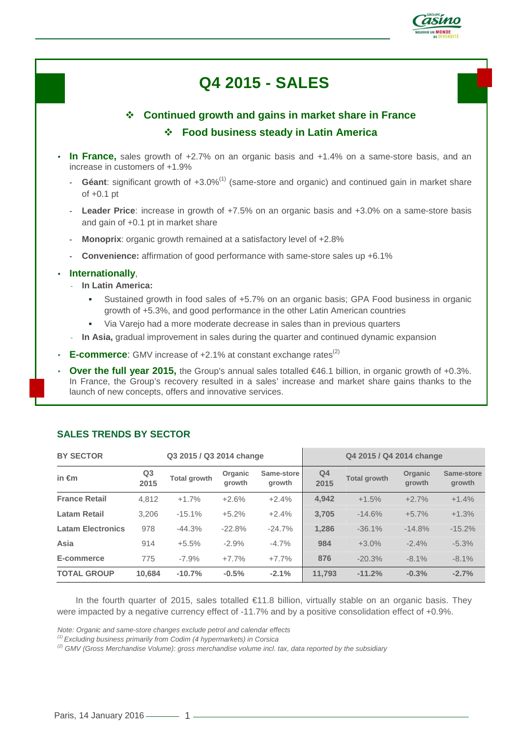

# **Q4 2015 - SALES**

## **Continued growth and gains in market share in France Food business steady in Latin America**

- **In France,** sales growth of +2.7% on an organic basis and +1.4% on a same-store basis, and an increase in customers of +1.9%
	- Géant: significant growth of +3.0%<sup>(1)</sup> (same-store and organic) and continued gain in market share of +0.1 pt
	- **Leader Price**: increase in growth of +7.5% on an organic basis and +3.0% on a same-store basis and gain of +0.1 pt in market share
	- Monoprix: organic growth remained at a satisfactory level of +2.8%
	- **Convenience:** affirmation of good performance with same-store sales up +6.1%

#### • **Internationally**,

- **In Latin America:**
	- - Sustained growth in food sales of +5.7% on an organic basis; GPA Food business in organic growth of +5.3%, and good performance in the other Latin American countries
	- -Via Varejo had a more moderate decrease in sales than in previous quarters
- In Asia, gradual improvement in sales during the quarter and continued dynamic expansion
- **E-commerce**: GMV increase of +2.1% at constant exchange rates<sup>(2)</sup>
- **Over the full year 2015,** the Group's annual sales totalled €46.1 billion, in organic growth of +0.3%. In France, the Group's recovery resulted in a sales' increase and market share gains thanks to the launch of new concepts, offers and innovative services.

| <b>BY SECTOR</b><br>Q3 2015 / Q3 2014 change |                        |                     |                   | Q4 2015 / Q4 2014 change |                        |                     |                   |                      |
|----------------------------------------------|------------------------|---------------------|-------------------|--------------------------|------------------------|---------------------|-------------------|----------------------|
| in $\epsilon$ m                              | Q <sub>3</sub><br>2015 | <b>Total growth</b> | Organic<br>arowth | Same-store<br>arowth     | Q <sub>4</sub><br>2015 | <b>Total growth</b> | Organic<br>arowth | Same-store<br>growth |
| <b>France Retail</b>                         | 4.812                  | $+1.7%$             | $+2.6%$           | $+2.4%$                  | 4,942                  | $+1.5%$             | $+2.7%$           | $+1.4%$              |
| Latam Retail                                 | 3.206                  | $-15.1%$            | $+5.2%$           | $+2.4%$                  | 3,705                  | $-14.6%$            | $+5.7%$           | $+1.3%$              |
| <b>Latam Electronics</b>                     | 978                    | $-44.3%$            | $-22.8%$          | $-24.7%$                 | 1,286                  | $-36.1%$            | $-14.8%$          | $-15.2%$             |
| Asia                                         | 914                    | $+5.5%$             | $-2.9%$           | $-4.7%$                  | 984                    | $+3.0%$             | $-2.4%$           | $-5.3%$              |
| E-commerce                                   | 775                    | $-7.9%$             | $+7.7%$           | $+7.7%$                  | 876                    | $-20.3%$            | $-8.1%$           | $-8.1%$              |
| <b>TOTAL GROUP</b>                           | 10.684                 | $-10.7%$            | $-0.5%$           | $-2.1%$                  | 11.793                 | $-11.2%$            | $-0.3%$           | $-2.7%$              |

### **SALES TRENDS BY SECTOR**

In the fourth quarter of 2015, sales totalled €11.8 billion, virtually stable on an organic basis. They were impacted by a negative currency effect of -11.7% and by a positive consolidation effect of +0.9%.

Note: Organic and same-store changes exclude petrol and calendar effects

(1) Excluding business primarily from Codim (4 hypermarkets) in Corsica

 $^{(2)}$  GMV (Gross Merchandise Volume): gross merchandise volume incl. tax, data reported by the subsidiary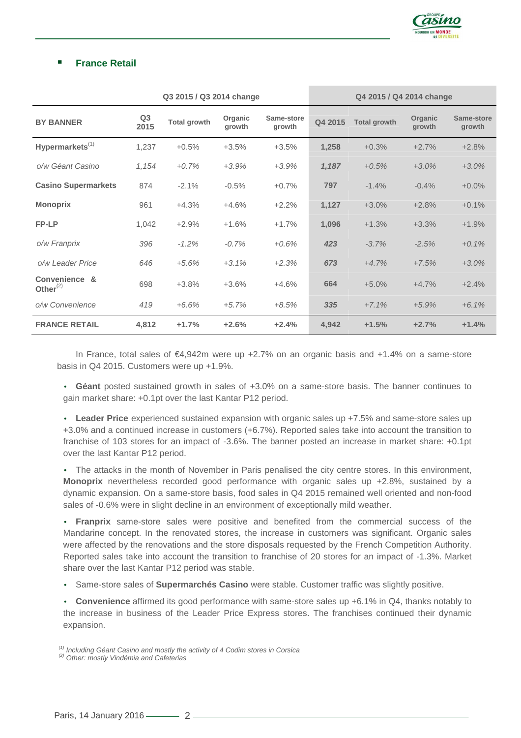

#### -**France Retail**

|                              | Q3 2015 / Q3 2014 change |                     |                   | Q4 2015 / Q4 2014 change |         |                     |                   |                      |
|------------------------------|--------------------------|---------------------|-------------------|--------------------------|---------|---------------------|-------------------|----------------------|
| <b>BY BANNER</b>             | Q <sub>3</sub><br>2015   | <b>Total growth</b> | Organic<br>growth | Same-store<br>growth     | Q4 2015 | <b>Total growth</b> | Organic<br>growth | Same-store<br>growth |
| Hypermarkets <sup>(1)</sup>  | 1,237                    | $+0.5%$             | $+3.5%$           | $+3.5%$                  | 1,258   | $+0.3%$             | $+2.7%$           | $+2.8%$              |
| o/w Géant Casino             | 1,154                    | $+0.7%$             | $+3.9%$           | $+3.9%$                  | 1,187   | $+0.5%$             | $+3.0%$           | $+3.0%$              |
| <b>Casino Supermarkets</b>   | 874                      | $-2.1%$             | $-0.5%$           | $+0.7%$                  | 797     | $-1.4%$             | $-0.4%$           | $+0.0%$              |
| <b>Monoprix</b>              | 961                      | $+4.3%$             | $+4.6%$           | $+2.2%$                  | 1,127   | $+3.0%$             | $+2.8%$           | $+0.1%$              |
| <b>FP-LP</b>                 | 1,042                    | $+2.9%$             | $+1.6%$           | $+1.7%$                  | 1,096   | $+1.3%$             | $+3.3%$           | $+1.9%$              |
| o/w Franprix                 | 396                      | $-1.2%$             | $-0.7%$           | $+0.6%$                  | 423     | $-3.7%$             | $-2.5%$           | $+0.1%$              |
| o/w Leader Price             | 646                      | $+5.6%$             | $+3.1%$           | $+2.3%$                  | 673     | $+4.7%$             | $+7.5%$           | $+3.0%$              |
| Convenience &<br>Other $(2)$ | 698                      | $+3.8%$             | $+3.6%$           | $+4.6%$                  | 664     | $+5.0%$             | $+4.7%$           | $+2.4%$              |
| o/w Convenience              | 419                      | $+6.6%$             | $+5.7%$           | $+8.5%$                  | 335     | $+7.1%$             | $+5.9%$           | $+6.1%$              |
| <b>FRANCE RETAIL</b>         | 4,812                    | $+1.7%$             | $+2.6%$           | $+2.4%$                  | 4,942   | $+1.5%$             | $+2.7%$           | $+1.4%$              |

In France, total sales of €4,942m were up +2.7% on an organic basis and +1.4% on a same-store basis in Q4 2015. Customers were up +1.9%.

• **Géant** posted sustained growth in sales of +3.0% on a same-store basis. The banner continues to gain market share: +0.1pt over the last Kantar P12 period.

• **Leader Price** experienced sustained expansion with organic sales up +7.5% and same-store sales up +3.0% and a continued increase in customers (+6.7%). Reported sales take into account the transition to franchise of 103 stores for an impact of -3.6%. The banner posted an increase in market share: +0.1pt over the last Kantar P12 period.

• The attacks in the month of November in Paris penalised the city centre stores. In this environment, **Monoprix** nevertheless recorded good performance with organic sales up +2.8%, sustained by a dynamic expansion. On a same-store basis, food sales in Q4 2015 remained well oriented and non-food sales of -0.6% were in slight decline in an environment of exceptionally mild weather.

• **Franprix** same-store sales were positive and benefited from the commercial success of the Mandarine concept. In the renovated stores, the increase in customers was significant. Organic sales were affected by the renovations and the store disposals requested by the French Competition Authority. Reported sales take into account the transition to franchise of 20 stores for an impact of -1.3%. Market share over the last Kantar P12 period was stable.

• Same-store sales of **Supermarchés Casino** were stable. Customer traffic was slightly positive.

• **Convenience** affirmed its good performance with same-store sales up +6.1% in Q4, thanks notably to the increase in business of the Leader Price Express stores. The franchises continued their dynamic expansion.

 $<sup>(1)</sup>$  Including Géant Casino and mostly the activity of 4 Codim stores in Corsica</sup>

 $(2)$  Other: mostly Vindémia and Cafeterias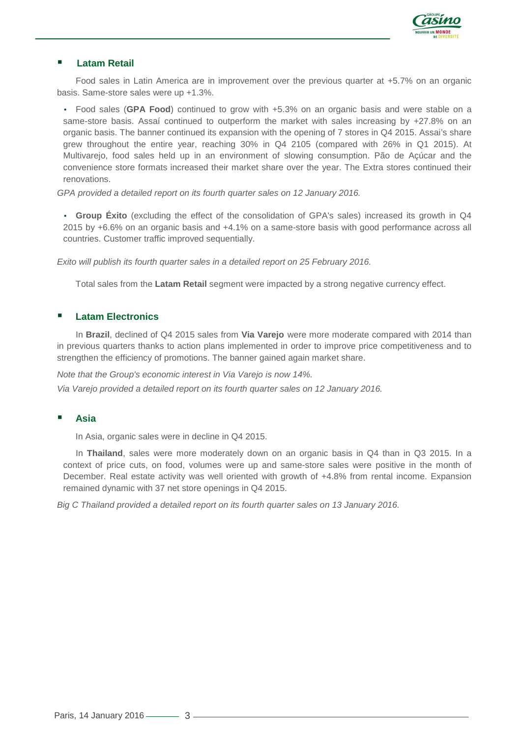

#### -**Latam Retail**

Food sales in Latin America are in improvement over the previous quarter at +5.7% on an organic basis. Same-store sales were up +1.3%.

• Food sales (**GPA Food**) continued to grow with +5.3% on an organic basis and were stable on a same-store basis. Assaí continued to outperform the market with sales increasing by +27.8% on an organic basis. The banner continued its expansion with the opening of 7 stores in Q4 2015. Assai's share grew throughout the entire year, reaching 30% in Q4 2105 (compared with 26% in Q1 2015). At Multivarejo, food sales held up in an environment of slowing consumption. Pão de Açúcar and the convenience store formats increased their market share over the year. The Extra stores continued their renovations.

GPA provided a detailed report on its fourth quarter sales on 12 January 2016.

• **Group Éxito** (excluding the effect of the consolidation of GPA's sales) increased its growth in Q4 2015 by +6.6% on an organic basis and +4.1% on a same-store basis with good performance across all countries. Customer traffic improved sequentially.

Exito will publish its fourth quarter sales in a detailed report on 25 February 2016.

Total sales from the **Latam Retail** segment were impacted by a strong negative currency effect.

#### -**Latam Electronics**

In **Brazil**, declined of Q4 2015 sales from **Via Varejo** were more moderate compared with 2014 than in previous quarters thanks to action plans implemented in order to improve price competitiveness and to strengthen the efficiency of promotions. The banner gained again market share.

Note that the Group's economic interest in Via Varejo is now 14%.

Via Varejo provided a detailed report on its fourth quarter sales on 12 January 2016.

#### -**Asia**

In Asia, organic sales were in decline in Q4 2015.

 In **Thailand**, sales were more moderately down on an organic basis in Q4 than in Q3 2015. In a context of price cuts, on food, volumes were up and same-store sales were positive in the month of December. Real estate activity was well oriented with growth of +4.8% from rental income. Expansion remained dynamic with 37 net store openings in Q4 2015.

Big C Thailand provided a detailed report on its fourth quarter sales on 13 January 2016.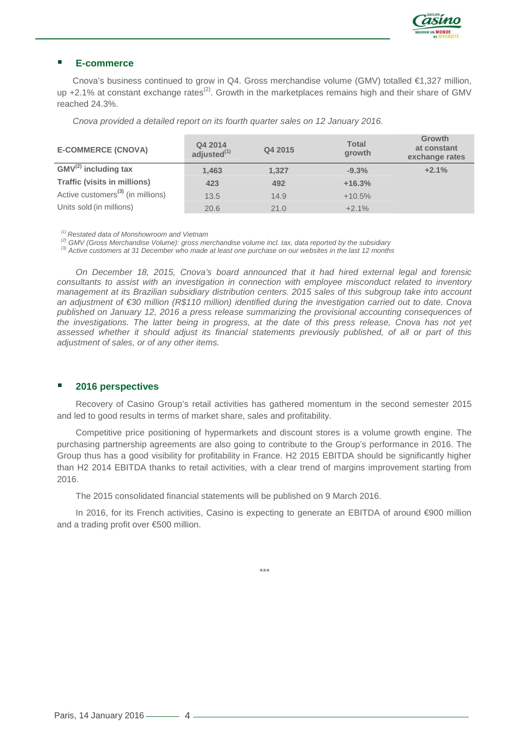

#### -**E-commerce**

Cnova's business continued to grow in Q4. Gross merchandise volume (GMV) totalled €1,327 million, up  $+2.1\%$  at constant exchange rates<sup>(2)</sup>. Growth in the marketplaces remains high and their share of GMV reached 24.3%.

Cnova provided a detailed report on its fourth quarter sales on 12 January 2016.

| <b>E-COMMERCE (CNOVA)</b>                     | Q4 2014<br>adjusted <sup>(1)</sup> | Q4 2015 | <b>Total</b><br>growth | <b>Growth</b><br>at constant<br>exchange rates |
|-----------------------------------------------|------------------------------------|---------|------------------------|------------------------------------------------|
| $GMV^{(2)}$ including tax                     | 1,463                              | 1,327   | $-9.3%$                | $+2.1%$                                        |
| <b>Traffic (visits in millions)</b>           | 423                                | 492     | $+16.3%$               |                                                |
| Active customers <sup>(3)</sup> (in millions) | 13.5                               | 14.9    | $+10.5%$               |                                                |
| Units sold (in millions)                      | 20.6                               | 21.0    | $+2.1%$                |                                                |

 $(1)$  Restated data of Monshowroom and Vietnam

 $^{(2)}$  GMV (Gross Merchandise Volume): gross merchandise volume incl. tax, data reported by the subsidiary

(3) Active customers at 31 December who made at least one purchase on our websites in the last 12 months

On December 18, 2015, Cnova's board announced that it had hired external legal and forensic consultants to assist with an investigation in connection with employee misconduct related to inventory management at its Brazilian subsidiary distribution centers. 2015 sales of this subgroup take into account an adjustment of €30 million (R\$110 million) identified during the investigation carried out to date. Cnova published on January 12, 2016 a press release summarizing the provisional accounting consequences of the investigations. The latter being in progress, at the date of this press release, Cnova has not yet assessed whether it should adjust its financial statements previously published, of all or part of this adjustment of sales, or of any other items.

#### -**2016 perspectives**

Recovery of Casino Group's retail activities has gathered momentum in the second semester 2015 and led to good results in terms of market share, sales and profitability.

Competitive price positioning of hypermarkets and discount stores is a volume growth engine. The purchasing partnership agreements are also going to contribute to the Group's performance in 2016. The Group thus has a good visibility for profitability in France. H2 2015 EBITDA should be significantly higher than H2 2014 EBITDA thanks to retail activities, with a clear trend of margins improvement starting from 2016.

The 2015 consolidated financial statements will be published on 9 March 2016.

In 2016, for its French activities, Casino is expecting to generate an EBITDA of around €900 million and a trading profit over €500 million.

\*\*\*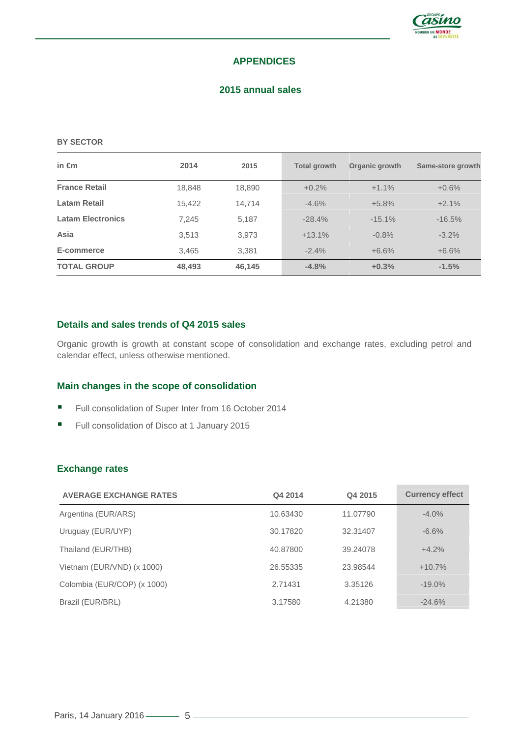

### **APPENDICES**

#### **2015 annual sales**

#### **BY SECTOR**

| in $\epsilon$ m          | 2014   | 2015   | <b>Total growth</b> | Organic growth | Same-store growth |
|--------------------------|--------|--------|---------------------|----------------|-------------------|
| <b>France Retail</b>     | 18,848 | 18,890 | $+0.2%$             | $+1.1%$        | $+0.6%$           |
| <b>Latam Retail</b>      | 15,422 | 14,714 | $-4.6%$             | $+5.8%$        | $+2.1%$           |
| <b>Latam Electronics</b> | 7.245  | 5,187  | $-28.4%$            | $-15.1%$       | $-16.5%$          |
| Asia                     | 3,513  | 3,973  | $+13.1%$            | $-0.8%$        | $-3.2%$           |
| E-commerce               | 3.465  | 3.381  | $-2.4%$             | $+6.6%$        | $+6.6%$           |
| <b>TOTAL GROUP</b>       | 48,493 | 46,145 | $-4.8%$             | $+0.3%$        | $-1.5%$           |

### **Details and sales trends of Q4 2015 sales**

Organic growth is growth at constant scope of consolidation and exchange rates, excluding petrol and calendar effect, unless otherwise mentioned.

#### **Main changes in the scope of consolidation**

- -Full consolidation of Super Inter from 16 October 2014
- -Full consolidation of Disco at 1 January 2015

### **Exchange rates**

| <b>AVERAGE EXCHANGE RATES</b> | Q4 2014  | Q4 2015  | <b>Currency effect</b> |
|-------------------------------|----------|----------|------------------------|
| Argentina (EUR/ARS)           | 10.63430 | 11.07790 | $-4.0\%$               |
| Uruguay (EUR/UYP)             | 30.17820 | 32.31407 | $-6.6%$                |
| Thailand (EUR/THB)            | 40.87800 | 39.24078 | $+4.2%$                |
| Vietnam (EUR/VND) (x 1000)    | 26.55335 | 23.98544 | $+10.7%$               |
| Colombia (EUR/COP) (x 1000)   | 2.71431  | 3.35126  | $-19.0\%$              |
| Brazil (EUR/BRL)              | 3.17580  | 4.21380  | $-24.6%$               |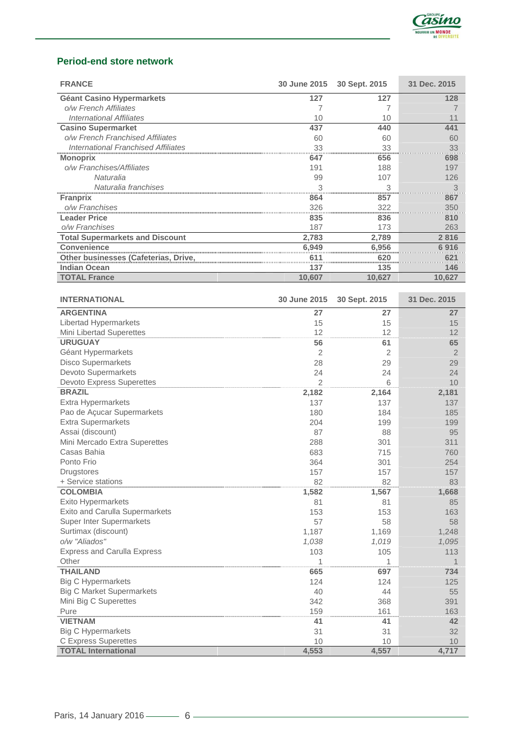

### **Period-end store network**

| <b>FRANCE</b>                               |        | 30 June 2015 30 Sept. 2015 | 31 Dec. 2015 |
|---------------------------------------------|--------|----------------------------|--------------|
| <b>Géant Casino Hypermarkets</b>            | 127    | 127                        | 128          |
| o/w French Affiliates                       |        |                            |              |
| International Affiliates                    | 10     | 10                         |              |
| <b>Casino Supermarket</b>                   | 437    | 440                        | 441          |
| o/w French Franchised Affiliates            | 60     | 60                         | 60           |
| International Franchised Affiliates         | 33     | 33                         | 33           |
| <b>Monoprix</b>                             | 647    | 656                        | 698          |
| o/w Franchises/Affiliates                   | 191    | 188                        | 197          |
| Naturalia                                   | 99     | 107                        | 126          |
| Naturalia franchises                        | 3      | 3                          |              |
| <b>Franprix</b>                             | 864    | 857                        | 867          |
| o/w Franchises                              | 326    |                            | 350          |
| <b>Leader Price</b>                         | 835    | 836                        | 810          |
| o/w Franchises                              | 187    | 173                        | 263          |
| <b>Total Supermarkets and Discount</b>      | 2,783  | 2,789                      | 2816         |
| <b>Convenience</b>                          | 6,949  | 6.956                      | 6 916        |
| <b>Other businesses (Cafeterias, Drive,</b> |        |                            |              |
| <b>Indian Ocean</b>                         | 137    | 135                        | <b>46</b>    |
| TOTAL France                                | 10,607 | 10,627                     | 10.627       |

| <b>INTERNATIONAL</b>               | 30 June 2015   | 30 Sept. 2015 | 31 Dec. 2015   |
|------------------------------------|----------------|---------------|----------------|
| <b>ARGENTINA</b>                   | 27             | 27            | 27             |
| Libertad Hypermarkets              | 15             | 15            | 15             |
| Mini Libertad Superettes           | 12             | 12            | 12             |
| <b>URUGUAY</b>                     | 56             | 61            | 65             |
| Géant Hypermarkets                 | 2              | 2             | $\overline{2}$ |
| <b>Disco Supermarkets</b>          | 28             | 29            | 29             |
| Devoto Supermarkets                | 24             | 24            | 24             |
| <b>Devoto Express Superettes</b>   | $\overline{2}$ | 6             | 10             |
| <b>BRAZIL</b>                      | 2,182          | 2,164         | 2,181          |
| <b>Extra Hypermarkets</b>          | 137            | 137           | 137            |
| Pao de Açucar Supermarkets         | 180            | 184           | 185            |
| <b>Extra Supermarkets</b>          | 204            | 199           | 199            |
| Assai (discount)                   | 87             | 88            | 95             |
| Mini Mercado Extra Superettes      | 288            | 301           | 311            |
| Casas Bahia                        | 683            | 715           | 760            |
| Ponto Frio                         | 364            | 301           | 254            |
| <b>Drugstores</b>                  | 157            | 157           | 157            |
| + Service stations                 | 82             | 82            | 83             |
| <b>COLOMBIA</b>                    | 1,582          | 1,567         | 1,668          |
| Exito Hypermarkets                 | 81             | 81            | 85             |
| Exito and Carulla Supermarkets     | 153            | 153           | 163            |
| <b>Super Inter Supermarkets</b>    | 57             | 58            | 58             |
| Surtimax (discount)                | 1,187          | 1,169         | 1,248          |
| o/w "Aliados"                      | 1,038          | 1,019         | 1,095          |
| <b>Express and Carulla Express</b> | 103            | 105           | 113            |
| Other                              | 1              | 1             |                |
| <b>THAILAND</b>                    | 665            | 697           | 734            |
| <b>Big C Hypermarkets</b>          | 124            | 124           | 125            |
| <b>Big C Market Supermarkets</b>   | 40             | 44            | 55             |
| Mini Big C Superettes              | 342            | 368           | 391            |
| Pure                               | 159            | 161           | 163            |
| <b>VIETNAM</b>                     | 41             | 41            | 42             |
| <b>Big C Hypermarkets</b>          | 31             | 31            | 32             |
| <b>C</b> Express Superettes        | 10             | 10            | 10             |
| <b>TOTAL International</b>         | 4,553          | 4,557         | 4,717          |